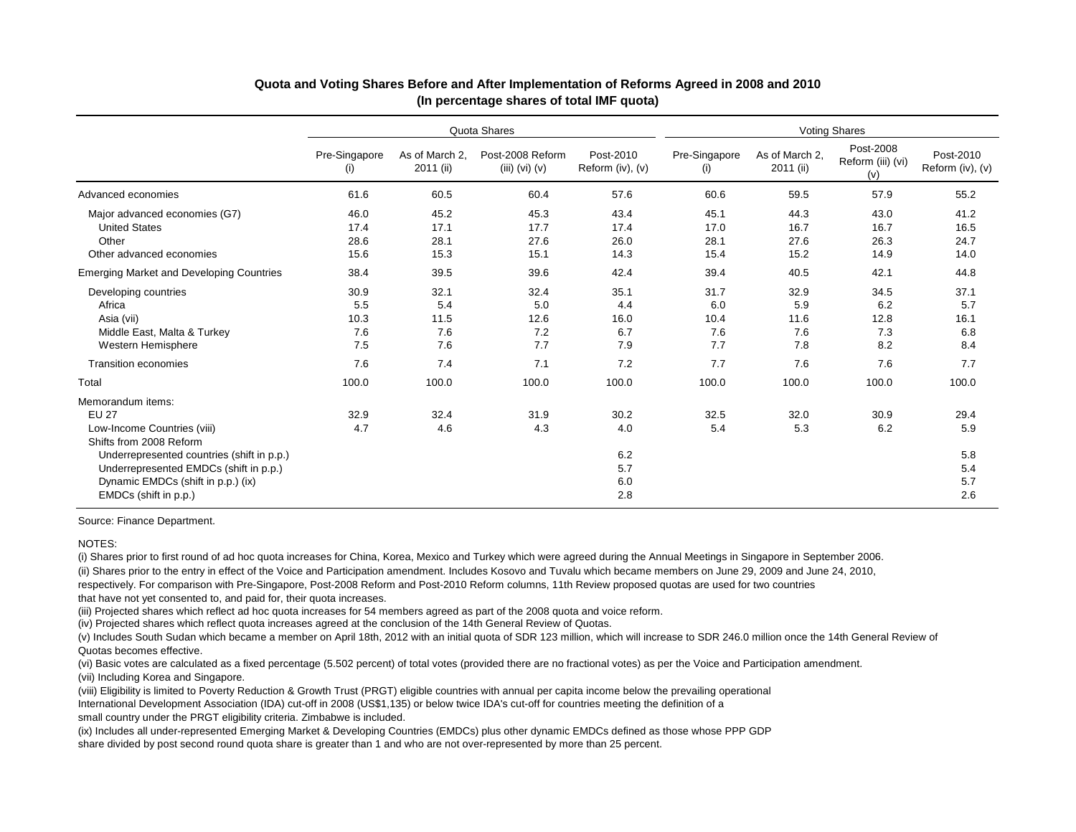|                                                                                                                                                                                                                                                    | Quota Shares                      |                                   |                                      |                                         | <b>Voting Shares</b>              |                                   |                                       |                                         |  |
|----------------------------------------------------------------------------------------------------------------------------------------------------------------------------------------------------------------------------------------------------|-----------------------------------|-----------------------------------|--------------------------------------|-----------------------------------------|-----------------------------------|-----------------------------------|---------------------------------------|-----------------------------------------|--|
|                                                                                                                                                                                                                                                    | Pre-Singapore<br>(i)              | As of March 2.<br>2011 (ii)       | Post-2008 Reform<br>$(iii)$ (vi) (v) | Post-2010<br>Reform $(iv)$ , $(v)$      | Pre-Singapore<br>(i)              | As of March 2,<br>2011 (ii)       | Post-2008<br>Reform (iii) (vi)<br>(v) | Post-2010<br>Reform (iv), (v)           |  |
| Advanced economies                                                                                                                                                                                                                                 | 61.6                              | 60.5                              | 60.4                                 | 57.6                                    | 60.6                              | 59.5                              | 57.9                                  | 55.2                                    |  |
| Major advanced economies (G7)<br><b>United States</b><br>Other                                                                                                                                                                                     | 46.0<br>17.4<br>28.6              | 45.2<br>17.1<br>28.1              | 45.3<br>17.7<br>27.6                 | 43.4<br>17.4<br>26.0                    | 45.1<br>17.0<br>28.1              | 44.3<br>16.7<br>27.6              | 43.0<br>16.7<br>26.3                  | 41.2<br>16.5<br>24.7                    |  |
| Other advanced economies                                                                                                                                                                                                                           | 15.6                              | 15.3                              | 15.1                                 | 14.3                                    | 15.4                              | 15.2                              | 14.9                                  | 14.0                                    |  |
| <b>Emerging Market and Developing Countries</b>                                                                                                                                                                                                    | 38.4                              | 39.5                              | 39.6                                 | 42.4                                    | 39.4                              | 40.5                              | 42.1                                  | 44.8                                    |  |
| Developing countries<br>Africa<br>Asia (vii)<br>Middle East, Malta & Turkey<br>Western Hemisphere                                                                                                                                                  | 30.9<br>5.5<br>10.3<br>7.6<br>7.5 | 32.1<br>5.4<br>11.5<br>7.6<br>7.6 | 32.4<br>5.0<br>12.6<br>7.2<br>7.7    | 35.1<br>4.4<br>16.0<br>6.7<br>7.9       | 31.7<br>6.0<br>10.4<br>7.6<br>7.7 | 32.9<br>5.9<br>11.6<br>7.6<br>7.8 | 34.5<br>6.2<br>12.8<br>7.3<br>8.2     | 37.1<br>5.7<br>16.1<br>6.8<br>8.4       |  |
| <b>Transition economies</b>                                                                                                                                                                                                                        | 7.6                               | 7.4                               | 7.1                                  | 7.2                                     | 7.7                               | 7.6                               | 7.6                                   | 7.7                                     |  |
| Total                                                                                                                                                                                                                                              | 100.0                             | 100.0                             | 100.0                                | 100.0                                   | 100.0                             | 100.0                             | 100.0                                 | 100.0                                   |  |
| Memorandum items:<br><b>EU 27</b><br>Low-Income Countries (viii)<br>Shifts from 2008 Reform<br>Underrepresented countries (shift in p.p.)<br>Underrepresented EMDCs (shift in p.p.)<br>Dynamic EMDCs (shift in p.p.) (ix)<br>EMDCs (shift in p.p.) | 32.9<br>4.7                       | 32.4<br>4.6                       | 31.9<br>4.3                          | 30.2<br>4.0<br>6.2<br>5.7<br>6.0<br>2.8 | 32.5<br>5.4                       | 32.0<br>5.3                       | 30.9<br>6.2                           | 29.4<br>5.9<br>5.8<br>5.4<br>5.7<br>2.6 |  |

#### **Quota and Voting Shares Before and After Implementation of Reforms Agreed in 2008 and 2010 (In percentage shares of total IMF quota)**

Source: Finance Department.

#### NOTES:

(ii) Shares prior to the entry in effect of the Voice and Participation amendment. Includes Kosovo and Tuvalu which became members on June 29, 2009 and June 24, 2010, respectively. For comparison with Pre-Singapore, Post-2008 Reform and Post-2010 Reform columns, 11th Review proposed quotas are used for two countries that have not yet consented to, and paid for, their quota increases. (i) Shares prior to first round of ad hoc quota increases for China, Korea, Mexico and Turkey which were agreed during the Annual Meetings in Singapore in September 2006.

(iii) Projected shares which reflect ad hoc quota increases for 54 members agreed as part of the 2008 quota and voice reform.

(iv) Projected shares which reflect quota increases agreed at the conclusion of the 14th General Review of Quotas.

(v) Includes South Sudan which became a member on April 18th, 2012 with an initial quota of SDR 123 million, which will increase to SDR 246.0 million once the 14th General Review of Quotas becomes effective.

(vi) Basic votes are calculated as a fixed percentage (5.502 percent) of total votes (provided there are no fractional votes) as per the Voice and Participation amendment. (vii) Including Korea and Singapore.

(viii) Eligibility is limited to Poverty Reduction & Growth Trust (PRGT) eligible countries with annual per capita income below the prevailing operational International Development Association (IDA) cut-off in 2008 (US\$1,135) or below twice IDA's cut-off for countries meeting the definition of a small country under the PRGT eligibility criteria. Zimbabwe is included.

(ix) Includes all under-represented Emerging Market & Developing Countries (EMDCs) plus other dynamic EMDCs defined as those whose PPP GDP share divided by post second round quota share is greater than 1 and who are not over-represented by more than 25 percent.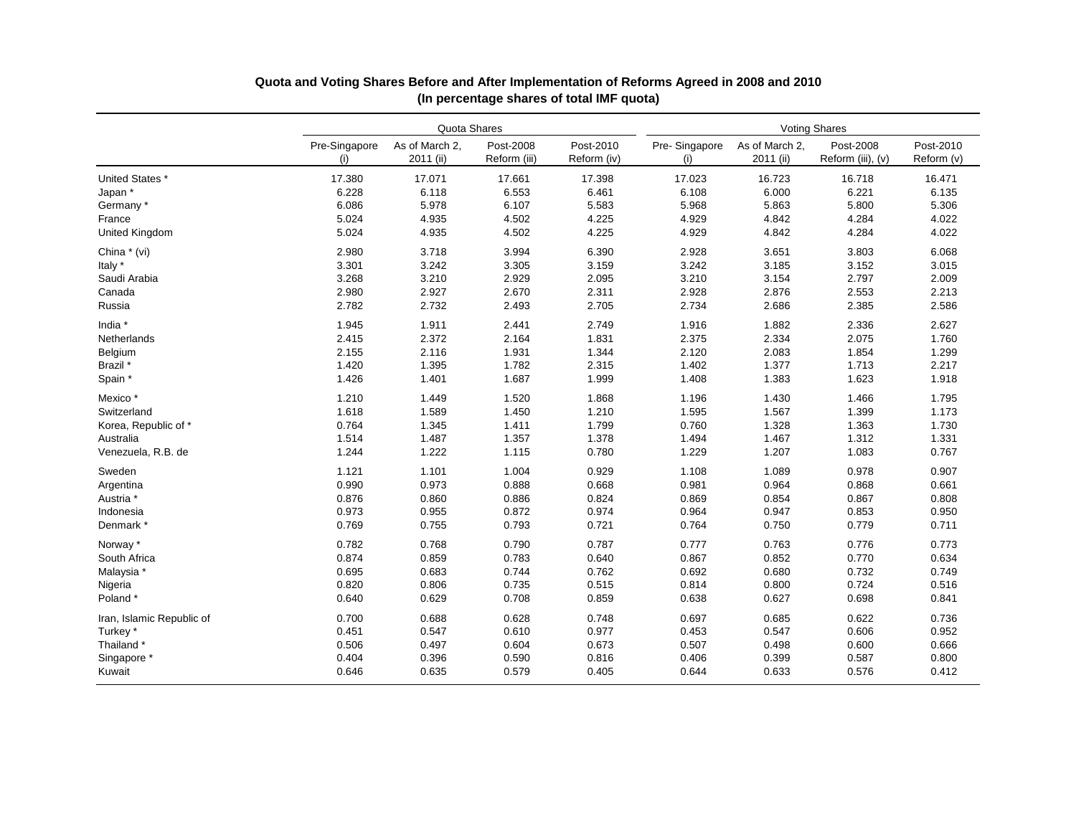|                           | Quota Shares         |                             |                           |                          | <b>Voting Shares</b> |                             |                                |                         |
|---------------------------|----------------------|-----------------------------|---------------------------|--------------------------|----------------------|-----------------------------|--------------------------------|-------------------------|
|                           | Pre-Singapore<br>(i) | As of March 2,<br>2011 (ii) | Post-2008<br>Reform (iii) | Post-2010<br>Reform (iv) | Pre-Singapore<br>(i) | As of March 2,<br>2011 (ii) | Post-2008<br>Reform (iii), (v) | Post-2010<br>Reform (v) |
| United States *           | 17.380               | 17.071                      | 17.661                    | 17.398                   | 17.023               | 16.723                      | 16.718                         | 16.471                  |
| Japan*                    | 6.228                | 6.118                       | 6.553                     | 6.461                    | 6.108                | 6.000                       | 6.221                          | 6.135                   |
| Germany*                  | 6.086                | 5.978                       | 6.107                     | 5.583                    | 5.968                | 5.863                       | 5.800                          | 5.306                   |
| France                    | 5.024                | 4.935                       | 4.502                     | 4.225                    | 4.929                | 4.842                       | 4.284                          | 4.022                   |
| United Kingdom            | 5.024                | 4.935                       | 4.502                     | 4.225                    | 4.929                | 4.842                       | 4.284                          | 4.022                   |
| China * (vi)              | 2.980                | 3.718                       | 3.994                     | 6.390                    | 2.928                | 3.651                       | 3.803                          | 6.068                   |
| Italy *                   | 3.301                | 3.242                       | 3.305                     | 3.159                    | 3.242                | 3.185                       | 3.152                          | 3.015                   |
| Saudi Arabia              | 3.268                | 3.210                       | 2.929                     | 2.095                    | 3.210                | 3.154                       | 2.797                          | 2.009                   |
| Canada                    | 2.980                | 2.927                       | 2.670                     | 2.311                    | 2.928                | 2.876                       | 2.553                          | 2.213                   |
| Russia                    | 2.782                | 2.732                       | 2.493                     | 2.705                    | 2.734                | 2.686                       | 2.385                          | 2.586                   |
| India *                   | 1.945                | 1.911                       | 2.441                     | 2.749                    | 1.916                | 1.882                       | 2.336                          | 2.627                   |
| Netherlands               | 2.415                | 2.372                       | 2.164                     | 1.831                    | 2.375                | 2.334                       | 2.075                          | 1.760                   |
| Belgium                   | 2.155                | 2.116                       | 1.931                     | 1.344                    | 2.120                | 2.083                       | 1.854                          | 1.299                   |
| Brazil *                  | 1.420                | 1.395                       | 1.782                     | 2.315                    | 1.402                | 1.377                       | 1.713                          | 2.217                   |
| Spain *                   | 1.426                | 1.401                       | 1.687                     | 1.999                    | 1.408                | 1.383                       | 1.623                          | 1.918                   |
| Mexico <sup>*</sup>       | 1.210                | 1.449                       | 1.520                     | 1.868                    | 1.196                | 1.430                       | 1.466                          | 1.795                   |
| Switzerland               | 1.618                | 1.589                       | 1.450                     | 1.210                    | 1.595                | 1.567                       | 1.399                          | 1.173                   |
| Korea, Republic of *      | 0.764                | 1.345                       | 1.411                     | 1.799                    | 0.760                | 1.328                       | 1.363                          | 1.730                   |
| Australia                 | 1.514                | 1.487                       | 1.357                     | 1.378                    | 1.494                | 1.467                       | 1.312                          | 1.331                   |
| Venezuela, R.B. de        | 1.244                | 1.222                       | 1.115                     | 0.780                    | 1.229                | 1.207                       | 1.083                          | 0.767                   |
| Sweden                    | 1.121                | 1.101                       | 1.004                     | 0.929                    | 1.108                | 1.089                       | 0.978                          | 0.907                   |
| Argentina                 | 0.990                | 0.973                       | 0.888                     | 0.668                    | 0.981                | 0.964                       | 0.868                          | 0.661                   |
| Austria <sup>*</sup>      | 0.876                | 0.860                       | 0.886                     | 0.824                    | 0.869                | 0.854                       | 0.867                          | 0.808                   |
| Indonesia                 | 0.973                | 0.955                       | 0.872                     | 0.974                    | 0.964                | 0.947                       | 0.853                          | 0.950                   |
| Denmark *                 | 0.769                | 0.755                       | 0.793                     | 0.721                    | 0.764                | 0.750                       | 0.779                          | 0.711                   |
| Norway *                  | 0.782                | 0.768                       | 0.790                     | 0.787                    | 0.777                | 0.763                       | 0.776                          | 0.773                   |
| South Africa              | 0.874                | 0.859                       | 0.783                     | 0.640                    | 0.867                | 0.852                       | 0.770                          | 0.634                   |
| Malaysia *                | 0.695                | 0.683                       | 0.744                     | 0.762                    | 0.692                | 0.680                       | 0.732                          | 0.749                   |
| Nigeria                   | 0.820                | 0.806                       | 0.735                     | 0.515                    | 0.814                | 0.800                       | 0.724                          | 0.516                   |
| Poland*                   | 0.640                | 0.629                       | 0.708                     | 0.859                    | 0.638                | 0.627                       | 0.698                          | 0.841                   |
| Iran, Islamic Republic of | 0.700                | 0.688                       | 0.628                     | 0.748                    | 0.697                | 0.685                       | 0.622                          | 0.736                   |
| Turkey*                   | 0.451                | 0.547                       | 0.610                     | 0.977                    | 0.453                | 0.547                       | 0.606                          | 0.952                   |
| Thailand *                | 0.506                | 0.497                       | 0.604                     | 0.673                    | 0.507                | 0.498                       | 0.600                          | 0.666                   |
| Singapore *               | 0.404                | 0.396                       | 0.590                     | 0.816                    | 0.406                | 0.399                       | 0.587                          | 0.800                   |
| Kuwait                    | 0.646                | 0.635                       | 0.579                     | 0.405                    | 0.644                | 0.633                       | 0.576                          | 0.412                   |

# **Quota and Voting Shares Before and After Implementation of Reforms Agreed in 2008 and 2010 (In percentage shares of total IMF quota)**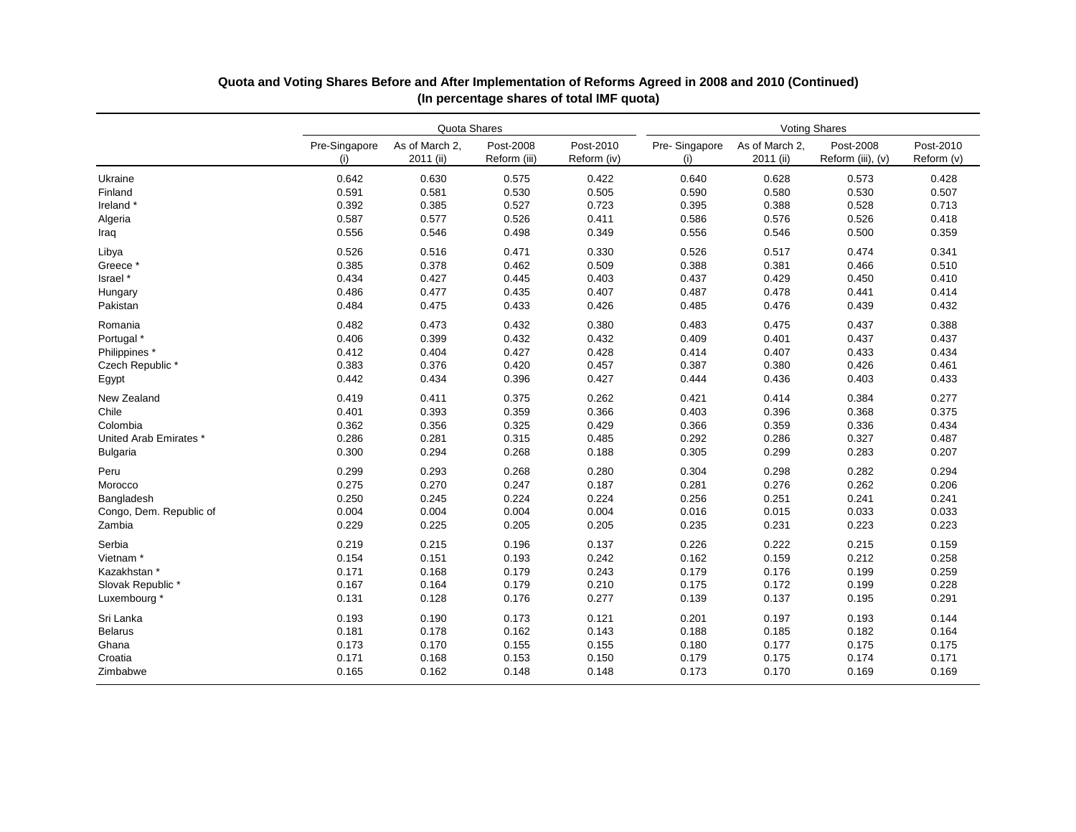|                         |                      | Quota Shares                |                           |                          |                      | <b>Voting Shares</b>        |                                |                         |  |  |
|-------------------------|----------------------|-----------------------------|---------------------------|--------------------------|----------------------|-----------------------------|--------------------------------|-------------------------|--|--|
|                         | Pre-Singapore<br>(i) | As of March 2,<br>2011 (ii) | Post-2008<br>Reform (iii) | Post-2010<br>Reform (iv) | Pre-Singapore<br>(i) | As of March 2,<br>2011 (ii) | Post-2008<br>Reform (iii), (v) | Post-2010<br>Reform (v) |  |  |
| Ukraine                 | 0.642                | 0.630                       | 0.575                     | 0.422                    | 0.640                | 0.628                       | 0.573                          | 0.428                   |  |  |
| Finland                 | 0.591                | 0.581                       | 0.530                     | 0.505                    | 0.590                | 0.580                       | 0.530                          | 0.507                   |  |  |
| Ireland*                | 0.392                | 0.385                       | 0.527                     | 0.723                    | 0.395                | 0.388                       | 0.528                          | 0.713                   |  |  |
| Algeria                 | 0.587                | 0.577                       | 0.526                     | 0.411                    | 0.586                | 0.576                       | 0.526                          | 0.418                   |  |  |
| Iraq                    | 0.556                | 0.546                       | 0.498                     | 0.349                    | 0.556                | 0.546                       | 0.500                          | 0.359                   |  |  |
| Libya                   | 0.526                | 0.516                       | 0.471                     | 0.330                    | 0.526                | 0.517                       | 0.474                          | 0.341                   |  |  |
| Greece*                 | 0.385                | 0.378                       | 0.462                     | 0.509                    | 0.388                | 0.381                       | 0.466                          | 0.510                   |  |  |
| Israel*                 | 0.434                | 0.427                       | 0.445                     | 0.403                    | 0.437                | 0.429                       | 0.450                          | 0.410                   |  |  |
| Hungary                 | 0.486                | 0.477                       | 0.435                     | 0.407                    | 0.487                | 0.478                       | 0.441                          | 0.414                   |  |  |
| Pakistan                | 0.484                | 0.475                       | 0.433                     | 0.426                    | 0.485                | 0.476                       | 0.439                          | 0.432                   |  |  |
| Romania                 | 0.482                | 0.473                       | 0.432                     | 0.380                    | 0.483                | 0.475                       | 0.437                          | 0.388                   |  |  |
| Portugal *              | 0.406                | 0.399                       | 0.432                     | 0.432                    | 0.409                | 0.401                       | 0.437                          | 0.437                   |  |  |
| Philippines *           | 0.412                | 0.404                       | 0.427                     | 0.428                    | 0.414                | 0.407                       | 0.433                          | 0.434                   |  |  |
| Czech Republic*         | 0.383                | 0.376                       | 0.420                     | 0.457                    | 0.387                | 0.380                       | 0.426                          | 0.461                   |  |  |
| Egypt                   | 0.442                | 0.434                       | 0.396                     | 0.427                    | 0.444                | 0.436                       | 0.403                          | 0.433                   |  |  |
| New Zealand             | 0.419                | 0.411                       | 0.375                     | 0.262                    | 0.421                | 0.414                       | 0.384                          | 0.277                   |  |  |
| Chile                   | 0.401                | 0.393                       | 0.359                     | 0.366                    | 0.403                | 0.396                       | 0.368                          | 0.375                   |  |  |
| Colombia                | 0.362                | 0.356                       | 0.325                     | 0.429                    | 0.366                | 0.359                       | 0.336                          | 0.434                   |  |  |
| United Arab Emirates *  | 0.286                | 0.281                       | 0.315                     | 0.485                    | 0.292                | 0.286                       | 0.327                          | 0.487                   |  |  |
| <b>Bulgaria</b>         | 0.300                | 0.294                       | 0.268                     | 0.188                    | 0.305                | 0.299                       | 0.283                          | 0.207                   |  |  |
| Peru                    | 0.299                | 0.293                       | 0.268                     | 0.280                    | 0.304                | 0.298                       | 0.282                          | 0.294                   |  |  |
| Morocco                 | 0.275                | 0.270                       | 0.247                     | 0.187                    | 0.281                | 0.276                       | 0.262                          | 0.206                   |  |  |
| Bangladesh              | 0.250                | 0.245                       | 0.224                     | 0.224                    | 0.256                | 0.251                       | 0.241                          | 0.241                   |  |  |
| Congo, Dem. Republic of | 0.004                | 0.004                       | 0.004                     | 0.004                    | 0.016                | 0.015                       | 0.033                          | 0.033                   |  |  |
| Zambia                  | 0.229                | 0.225                       | 0.205                     | 0.205                    | 0.235                | 0.231                       | 0.223                          | 0.223                   |  |  |
| Serbia                  | 0.219                | 0.215                       | 0.196                     | 0.137                    | 0.226                | 0.222                       | 0.215                          | 0.159                   |  |  |
| Vietnam <sup>*</sup>    | 0.154                | 0.151                       | 0.193                     | 0.242                    | 0.162                | 0.159                       | 0.212                          | 0.258                   |  |  |
| Kazakhstan *            | 0.171                | 0.168                       | 0.179                     | 0.243                    | 0.179                | 0.176                       | 0.199                          | 0.259                   |  |  |
| Slovak Republic*        | 0.167                | 0.164                       | 0.179                     | 0.210                    | 0.175                | 0.172                       | 0.199                          | 0.228                   |  |  |
| Luxembourg *            | 0.131                | 0.128                       | 0.176                     | 0.277                    | 0.139                | 0.137                       | 0.195                          | 0.291                   |  |  |
| Sri Lanka               | 0.193                | 0.190                       | 0.173                     | 0.121                    | 0.201                | 0.197                       | 0.193                          | 0.144                   |  |  |
| <b>Belarus</b>          | 0.181                | 0.178                       | 0.162                     | 0.143                    | 0.188                | 0.185                       | 0.182                          | 0.164                   |  |  |
| Ghana                   | 0.173                | 0.170                       | 0.155                     | 0.155                    | 0.180                | 0.177                       | 0.175                          | 0.175                   |  |  |
| Croatia                 | 0.171                | 0.168                       | 0.153                     | 0.150                    | 0.179                | 0.175                       | 0.174                          | 0.171                   |  |  |
| Zimbabwe                | 0.165                | 0.162                       | 0.148                     | 0.148                    | 0.173                | 0.170                       | 0.169                          | 0.169                   |  |  |

# **(In percentage shares of total IMF quota) Quota and Voting Shares Before and After Implementation of Reforms Agreed in 2008 and 2010 (Continued)**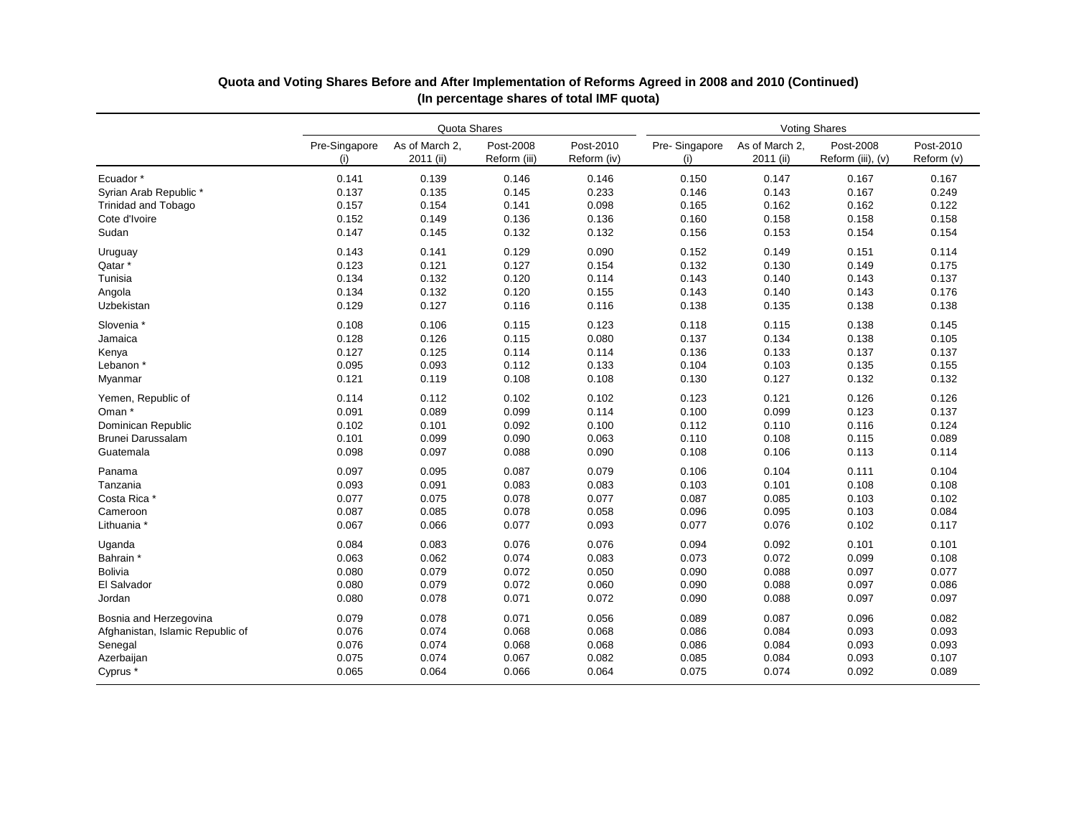|                                  | Quota Shares         |                             |                           |                          | <b>Voting Shares</b> |                             |                                |                         |  |
|----------------------------------|----------------------|-----------------------------|---------------------------|--------------------------|----------------------|-----------------------------|--------------------------------|-------------------------|--|
|                                  | Pre-Singapore<br>(i) | As of March 2.<br>2011 (ii) | Post-2008<br>Reform (iii) | Post-2010<br>Reform (iv) | Pre-Singapore<br>(i) | As of March 2.<br>2011 (ii) | Post-2008<br>Reform (iii), (v) | Post-2010<br>Reform (v) |  |
| Ecuador <sup>*</sup>             | 0.141                | 0.139                       | 0.146                     | 0.146                    | 0.150                | 0.147                       | 0.167                          | 0.167                   |  |
| Syrian Arab Republic*            | 0.137                | 0.135                       | 0.145                     | 0.233                    | 0.146                | 0.143                       | 0.167                          | 0.249                   |  |
| <b>Trinidad and Tobago</b>       | 0.157                | 0.154                       | 0.141                     | 0.098                    | 0.165                | 0.162                       | 0.162                          | 0.122                   |  |
| Cote d'Ivoire                    | 0.152                | 0.149                       | 0.136                     | 0.136                    | 0.160                | 0.158                       | 0.158                          | 0.158                   |  |
| Sudan                            | 0.147                | 0.145                       | 0.132                     | 0.132                    | 0.156                | 0.153                       | 0.154                          | 0.154                   |  |
| Uruguay                          | 0.143                | 0.141                       | 0.129                     | 0.090                    | 0.152                | 0.149                       | 0.151                          | 0.114                   |  |
| Qatar*                           | 0.123                | 0.121                       | 0.127                     | 0.154                    | 0.132                | 0.130                       | 0.149                          | 0.175                   |  |
| Tunisia                          | 0.134                | 0.132                       | 0.120                     | 0.114                    | 0.143                | 0.140                       | 0.143                          | 0.137                   |  |
| Angola                           | 0.134                | 0.132                       | 0.120                     | 0.155                    | 0.143                | 0.140                       | 0.143                          | 0.176                   |  |
| Uzbekistan                       | 0.129                | 0.127                       | 0.116                     | 0.116                    | 0.138                | 0.135                       | 0.138                          | 0.138                   |  |
| Slovenia *                       | 0.108                | 0.106                       | 0.115                     | 0.123                    | 0.118                | 0.115                       | 0.138                          | 0.145                   |  |
| Jamaica                          | 0.128                | 0.126                       | 0.115                     | 0.080                    | 0.137                | 0.134                       | 0.138                          | 0.105                   |  |
| Kenya                            | 0.127                | 0.125                       | 0.114                     | 0.114                    | 0.136                | 0.133                       | 0.137                          | 0.137                   |  |
| Lebanon *                        | 0.095                | 0.093                       | 0.112                     | 0.133                    | 0.104                | 0.103                       | 0.135                          | 0.155                   |  |
| Myanmar                          | 0.121                | 0.119                       | 0.108                     | 0.108                    | 0.130                | 0.127                       | 0.132                          | 0.132                   |  |
| Yemen, Republic of               | 0.114                | 0.112                       | 0.102                     | 0.102                    | 0.123                | 0.121                       | 0.126                          | 0.126                   |  |
| Oman <sup>*</sup>                | 0.091                | 0.089                       | 0.099                     | 0.114                    | 0.100                | 0.099                       | 0.123                          | 0.137                   |  |
| Dominican Republic               | 0.102                | 0.101                       | 0.092                     | 0.100                    | 0.112                | 0.110                       | 0.116                          | 0.124                   |  |
| Brunei Darussalam                | 0.101                | 0.099                       | 0.090                     | 0.063                    | 0.110                | 0.108                       | 0.115                          | 0.089                   |  |
| Guatemala                        | 0.098                | 0.097                       | 0.088                     | 0.090                    | 0.108                | 0.106                       | 0.113                          | 0.114                   |  |
| Panama                           | 0.097                | 0.095                       | 0.087                     | 0.079                    | 0.106                | 0.104                       | 0.111                          | 0.104                   |  |
| Tanzania                         | 0.093                | 0.091                       | 0.083                     | 0.083                    | 0.103                | 0.101                       | 0.108                          | 0.108                   |  |
| Costa Rica *                     | 0.077                | 0.075                       | 0.078                     | 0.077                    | 0.087                | 0.085                       | 0.103                          | 0.102                   |  |
| Cameroon                         | 0.087                | 0.085                       | 0.078                     | 0.058                    | 0.096                | 0.095                       | 0.103                          | 0.084                   |  |
| Lithuania *                      | 0.067                | 0.066                       | 0.077                     | 0.093                    | 0.077                | 0.076                       | 0.102                          | 0.117                   |  |
| Uganda                           | 0.084                | 0.083                       | 0.076                     | 0.076                    | 0.094                | 0.092                       | 0.101                          | 0.101                   |  |
| Bahrain *                        | 0.063                | 0.062                       | 0.074                     | 0.083                    | 0.073                | 0.072                       | 0.099                          | 0.108                   |  |
| <b>Bolivia</b>                   | 0.080                | 0.079                       | 0.072                     | 0.050                    | 0.090                | 0.088                       | 0.097                          | 0.077                   |  |
| El Salvador                      | 0.080                | 0.079                       | 0.072                     | 0.060                    | 0.090                | 0.088                       | 0.097                          | 0.086                   |  |
| Jordan                           | 0.080                | 0.078                       | 0.071                     | 0.072                    | 0.090                | 0.088                       | 0.097                          | 0.097                   |  |
| Bosnia and Herzegovina           | 0.079                | 0.078                       | 0.071                     | 0.056                    | 0.089                | 0.087                       | 0.096                          | 0.082                   |  |
| Afghanistan, Islamic Republic of | 0.076                | 0.074                       | 0.068                     | 0.068                    | 0.086                | 0.084                       | 0.093                          | 0.093                   |  |
| Senegal                          | 0.076                | 0.074                       | 0.068                     | 0.068                    | 0.086                | 0.084                       | 0.093                          | 0.093                   |  |
| Azerbaijan                       | 0.075                | 0.074                       | 0.067                     | 0.082                    | 0.085                | 0.084                       | 0.093                          | 0.107                   |  |
| Cyprus <sup>*</sup>              | 0.065                | 0.064                       | 0.066                     | 0.064                    | 0.075                | 0.074                       | 0.092                          | 0.089                   |  |

# **Quota and Voting Shares Before and After Implementation of Reforms Agreed in 2008 and 2010 (Continued) (In percentage shares of total IMF quota)**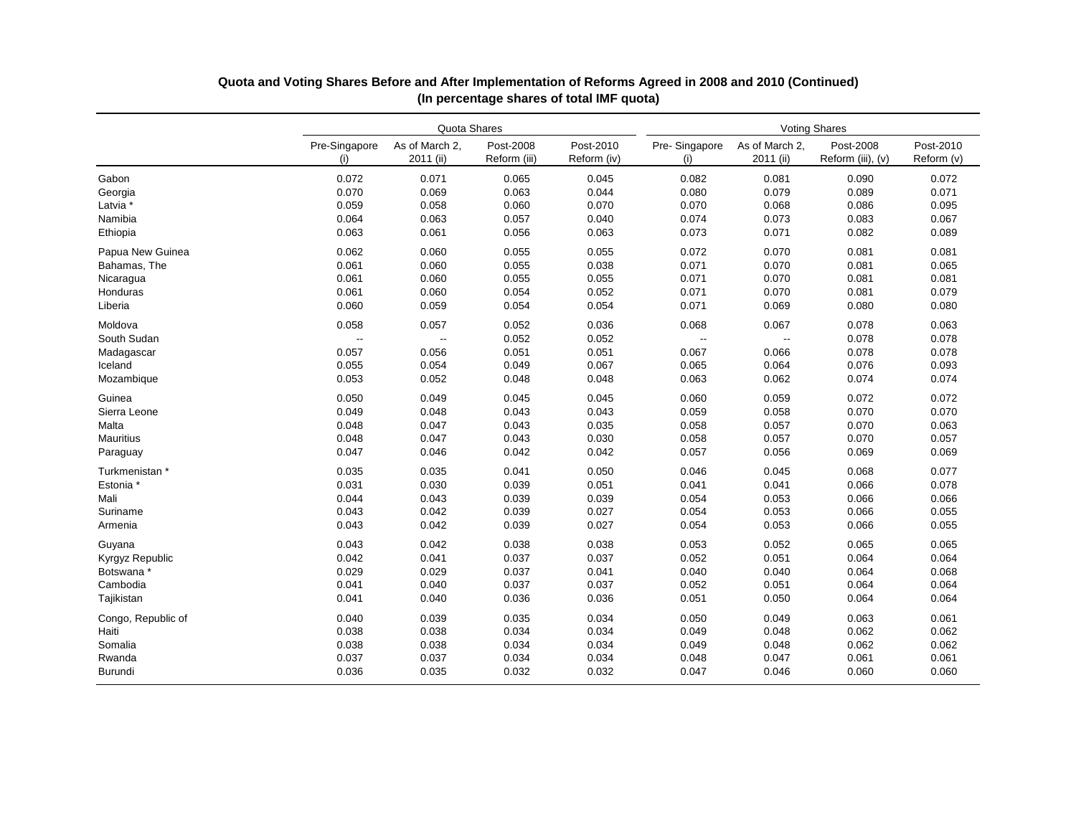|                    | Quota Shares         |                             |                           |                          | <b>Voting Shares</b>     |                             |                                |                         |  |
|--------------------|----------------------|-----------------------------|---------------------------|--------------------------|--------------------------|-----------------------------|--------------------------------|-------------------------|--|
|                    | Pre-Singapore<br>(i) | As of March 2.<br>2011 (ii) | Post-2008<br>Reform (iii) | Post-2010<br>Reform (iv) | Pre-Singapore<br>(i)     | As of March 2.<br>2011 (ii) | Post-2008<br>Reform (iii), (v) | Post-2010<br>Reform (v) |  |
| Gabon              | 0.072                | 0.071                       | 0.065                     | 0.045                    | 0.082                    | 0.081                       | 0.090                          | 0.072                   |  |
| Georgia            | 0.070                | 0.069                       | 0.063                     | 0.044                    | 0.080                    | 0.079                       | 0.089                          | 0.071                   |  |
| Latvia *           | 0.059                | 0.058                       | 0.060                     | 0.070                    | 0.070                    | 0.068                       | 0.086                          | 0.095                   |  |
| Namibia            | 0.064                | 0.063                       | 0.057                     | 0.040                    | 0.074                    | 0.073                       | 0.083                          | 0.067                   |  |
| Ethiopia           | 0.063                | 0.061                       | 0.056                     | 0.063                    | 0.073                    | 0.071                       | 0.082                          | 0.089                   |  |
| Papua New Guinea   | 0.062                | 0.060                       | 0.055                     | 0.055                    | 0.072                    | 0.070                       | 0.081                          | 0.081                   |  |
| Bahamas, The       | 0.061                | 0.060                       | 0.055                     | 0.038                    | 0.071                    | 0.070                       | 0.081                          | 0.065                   |  |
| Nicaragua          | 0.061                | 0.060                       | 0.055                     | 0.055                    | 0.071                    | 0.070                       | 0.081                          | 0.081                   |  |
| Honduras           | 0.061                | 0.060                       | 0.054                     | 0.052                    | 0.071                    | 0.070                       | 0.081                          | 0.079                   |  |
| Liberia            | 0.060                | 0.059                       | 0.054                     | 0.054                    | 0.071                    | 0.069                       | 0.080                          | 0.080                   |  |
| Moldova            | 0.058                | 0.057                       | 0.052                     | 0.036                    | 0.068                    | 0.067                       | 0.078                          | 0.063                   |  |
| South Sudan        | $\ddotsc$            | Ξ.                          | 0.052                     | 0.052                    | $\overline{\phantom{a}}$ | ω.                          | 0.078                          | 0.078                   |  |
| Madagascar         | 0.057                | 0.056                       | 0.051                     | 0.051                    | 0.067                    | 0.066                       | 0.078                          | 0.078                   |  |
| Iceland            | 0.055                | 0.054                       | 0.049                     | 0.067                    | 0.065                    | 0.064                       | 0.076                          | 0.093                   |  |
| Mozambique         | 0.053                | 0.052                       | 0.048                     | 0.048                    | 0.063                    | 0.062                       | 0.074                          | 0.074                   |  |
| Guinea             | 0.050                | 0.049                       | 0.045                     | 0.045                    | 0.060                    | 0.059                       | 0.072                          | 0.072                   |  |
| Sierra Leone       | 0.049                | 0.048                       | 0.043                     | 0.043                    | 0.059                    | 0.058                       | 0.070                          | 0.070                   |  |
| Malta              | 0.048                | 0.047                       | 0.043                     | 0.035                    | 0.058                    | 0.057                       | 0.070                          | 0.063                   |  |
| <b>Mauritius</b>   | 0.048                | 0.047                       | 0.043                     | 0.030                    | 0.058                    | 0.057                       | 0.070                          | 0.057                   |  |
| Paraguay           | 0.047                | 0.046                       | 0.042                     | 0.042                    | 0.057                    | 0.056                       | 0.069                          | 0.069                   |  |
| Turkmenistan *     | 0.035                | 0.035                       | 0.041                     | 0.050                    | 0.046                    | 0.045                       | 0.068                          | 0.077                   |  |
| Estonia *          | 0.031                | 0.030                       | 0.039                     | 0.051                    | 0.041                    | 0.041                       | 0.066                          | 0.078                   |  |
| Mali               | 0.044                | 0.043                       | 0.039                     | 0.039                    | 0.054                    | 0.053                       | 0.066                          | 0.066                   |  |
| Suriname           | 0.043                | 0.042                       | 0.039                     | 0.027                    | 0.054                    | 0.053                       | 0.066                          | 0.055                   |  |
| Armenia            | 0.043                | 0.042                       | 0.039                     | 0.027                    | 0.054                    | 0.053                       | 0.066                          | 0.055                   |  |
| Guyana             | 0.043                | 0.042                       | 0.038                     | 0.038                    | 0.053                    | 0.052                       | 0.065                          | 0.065                   |  |
| Kyrgyz Republic    | 0.042                | 0.041                       | 0.037                     | 0.037                    | 0.052                    | 0.051                       | 0.064                          | 0.064                   |  |
| Botswana *         | 0.029                | 0.029                       | 0.037                     | 0.041                    | 0.040                    | 0.040                       | 0.064                          | 0.068                   |  |
| Cambodia           | 0.041                | 0.040                       | 0.037                     | 0.037                    | 0.052                    | 0.051                       | 0.064                          | 0.064                   |  |
| Tajikistan         | 0.041                | 0.040                       | 0.036                     | 0.036                    | 0.051                    | 0.050                       | 0.064                          | 0.064                   |  |
| Congo, Republic of | 0.040                | 0.039                       | 0.035                     | 0.034                    | 0.050                    | 0.049                       | 0.063                          | 0.061                   |  |
| Haiti              | 0.038                | 0.038                       | 0.034                     | 0.034                    | 0.049                    | 0.048                       | 0.062                          | 0.062                   |  |
| Somalia            | 0.038                | 0.038                       | 0.034                     | 0.034                    | 0.049                    | 0.048                       | 0.062                          | 0.062                   |  |
| Rwanda             | 0.037                | 0.037                       | 0.034                     | 0.034                    | 0.048                    | 0.047                       | 0.061                          | 0.061                   |  |
| <b>Burundi</b>     | 0.036                | 0.035                       | 0.032                     | 0.032                    | 0.047                    | 0.046                       | 0.060                          | 0.060                   |  |

# **Quota and Voting Shares Before and After Implementation of Reforms Agreed in 2008 and 2010 (Continued) (In percentage shares of total IMF quota)**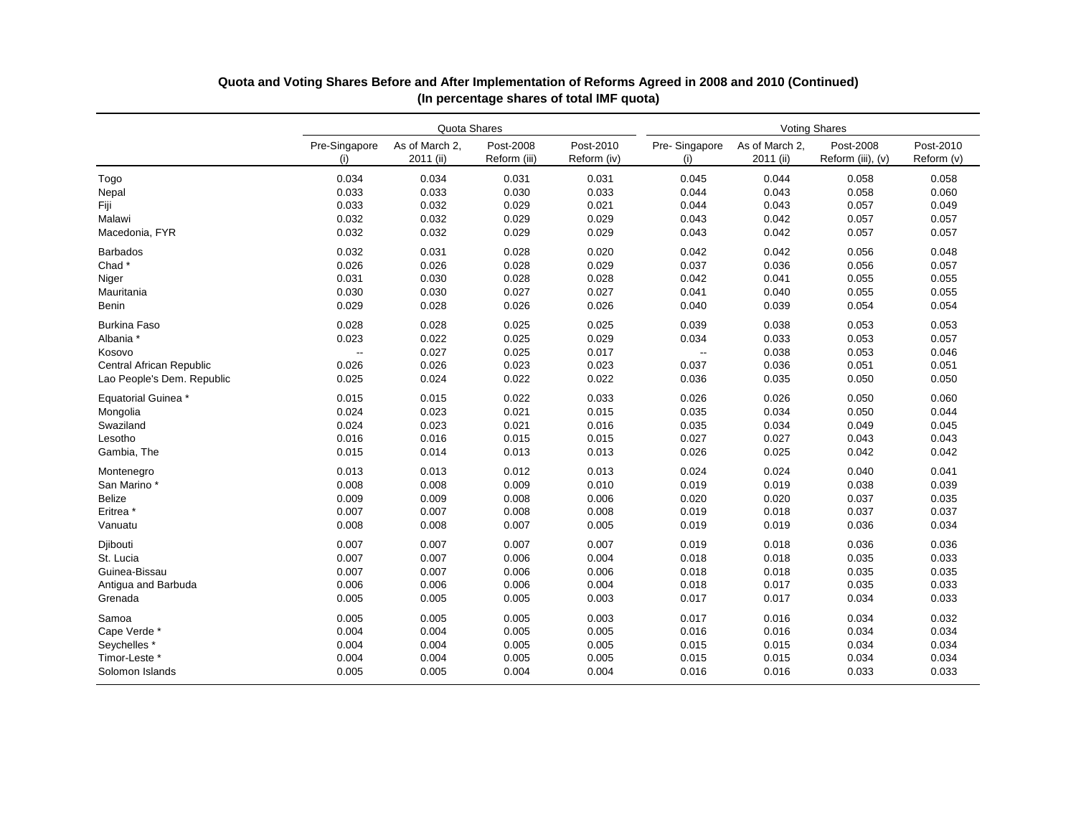|                                 | Quota Shares             |                             |                           |                          | <b>Voting Shares</b> |                             |                                |                         |  |
|---------------------------------|--------------------------|-----------------------------|---------------------------|--------------------------|----------------------|-----------------------------|--------------------------------|-------------------------|--|
|                                 | Pre-Singapore<br>(i)     | As of March 2.<br>2011 (ii) | Post-2008<br>Reform (iii) | Post-2010<br>Reform (iv) | Pre-Singapore<br>(i) | As of March 2.<br>2011 (ii) | Post-2008<br>Reform (iii), (v) | Post-2010<br>Reform (v) |  |
| Togo                            | 0.034                    | 0.034                       | 0.031                     | 0.031                    | 0.045                | 0.044                       | 0.058                          | 0.058                   |  |
| Nepal                           | 0.033                    | 0.033                       | 0.030                     | 0.033                    | 0.044                | 0.043                       | 0.058                          | 0.060                   |  |
| Fiji                            | 0.033                    | 0.032                       | 0.029                     | 0.021                    | 0.044                | 0.043                       | 0.057                          | 0.049                   |  |
| Malawi                          | 0.032                    | 0.032                       | 0.029                     | 0.029                    | 0.043                | 0.042                       | 0.057                          | 0.057                   |  |
| Macedonia, FYR                  | 0.032                    | 0.032                       | 0.029                     | 0.029                    | 0.043                | 0.042                       | 0.057                          | 0.057                   |  |
| <b>Barbados</b>                 | 0.032                    | 0.031                       | 0.028                     | 0.020                    | 0.042                | 0.042                       | 0.056                          | 0.048                   |  |
| Chad*                           | 0.026                    | 0.026                       | 0.028                     | 0.029                    | 0.037                | 0.036                       | 0.056                          | 0.057                   |  |
| Niger                           | 0.031                    | 0.030                       | 0.028                     | 0.028                    | 0.042                | 0.041                       | 0.055                          | 0.055                   |  |
| Mauritania                      | 0.030                    | 0.030                       | 0.027                     | 0.027                    | 0.041                | 0.040                       | 0.055                          | 0.055                   |  |
| Benin                           | 0.029                    | 0.028                       | 0.026                     | 0.026                    | 0.040                | 0.039                       | 0.054                          | 0.054                   |  |
| <b>Burkina Faso</b>             | 0.028                    | 0.028                       | 0.025                     | 0.025                    | 0.039                | 0.038                       | 0.053                          | 0.053                   |  |
| Albania *                       | 0.023                    | 0.022                       | 0.025                     | 0.029                    | 0.034                | 0.033                       | 0.053                          | 0.057                   |  |
| Kosovo                          | $\overline{\phantom{a}}$ | 0.027                       | 0.025                     | 0.017                    | $\ddotsc$            | 0.038                       | 0.053                          | 0.046                   |  |
| <b>Central African Republic</b> | 0.026                    | 0.026                       | 0.023                     | 0.023                    | 0.037                | 0.036                       | 0.051                          | 0.051                   |  |
| Lao People's Dem. Republic      | 0.025                    | 0.024                       | 0.022                     | 0.022                    | 0.036                | 0.035                       | 0.050                          | 0.050                   |  |
| Equatorial Guinea *             | 0.015                    | 0.015                       | 0.022                     | 0.033                    | 0.026                | 0.026                       | 0.050                          | 0.060                   |  |
| Mongolia                        | 0.024                    | 0.023                       | 0.021                     | 0.015                    | 0.035                | 0.034                       | 0.050                          | 0.044                   |  |
| Swaziland                       | 0.024                    | 0.023                       | 0.021                     | 0.016                    | 0.035                | 0.034                       | 0.049                          | 0.045                   |  |
| Lesotho                         | 0.016                    | 0.016                       | 0.015                     | 0.015                    | 0.027                | 0.027                       | 0.043                          | 0.043                   |  |
| Gambia, The                     | 0.015                    | 0.014                       | 0.013                     | 0.013                    | 0.026                | 0.025                       | 0.042                          | 0.042                   |  |
| Montenegro                      | 0.013                    | 0.013                       | 0.012                     | 0.013                    | 0.024                | 0.024                       | 0.040                          | 0.041                   |  |
| San Marino*                     | 0.008                    | 0.008                       | 0.009                     | 0.010                    | 0.019                | 0.019                       | 0.038                          | 0.039                   |  |
| <b>Belize</b>                   | 0.009                    | 0.009                       | 0.008                     | 0.006                    | 0.020                | 0.020                       | 0.037                          | 0.035                   |  |
| Eritrea <sup>*</sup>            | 0.007                    | 0.007                       | 0.008                     | 0.008                    | 0.019                | 0.018                       | 0.037                          | 0.037                   |  |
| Vanuatu                         | 0.008                    | 0.008                       | 0.007                     | 0.005                    | 0.019                | 0.019                       | 0.036                          | 0.034                   |  |
| Djibouti                        | 0.007                    | 0.007                       | 0.007                     | 0.007                    | 0.019                | 0.018                       | 0.036                          | 0.036                   |  |
| St. Lucia                       | 0.007                    | 0.007                       | 0.006                     | 0.004                    | 0.018                | 0.018                       | 0.035                          | 0.033                   |  |
| Guinea-Bissau                   | 0.007                    | 0.007                       | 0.006                     | 0.006                    | 0.018                | 0.018                       | 0.035                          | 0.035                   |  |
| Antigua and Barbuda             | 0.006                    | 0.006                       | 0.006                     | 0.004                    | 0.018                | 0.017                       | 0.035                          | 0.033                   |  |
| Grenada                         | 0.005                    | 0.005                       | 0.005                     | 0.003                    | 0.017                | 0.017                       | 0.034                          | 0.033                   |  |
| Samoa                           | 0.005                    | 0.005                       | 0.005                     | 0.003                    | 0.017                | 0.016                       | 0.034                          | 0.032                   |  |
| Cape Verde*                     | 0.004                    | 0.004                       | 0.005                     | 0.005                    | 0.016                | 0.016                       | 0.034                          | 0.034                   |  |
| Seychelles *                    | 0.004                    | 0.004                       | 0.005                     | 0.005                    | 0.015                | 0.015                       | 0.034                          | 0.034                   |  |
| Timor-Leste *                   | 0.004                    | 0.004                       | 0.005                     | 0.005                    | 0.015                | 0.015                       | 0.034                          | 0.034                   |  |
| Solomon Islands                 | 0.005                    | 0.005                       | 0.004                     | 0.004                    | 0.016                | 0.016                       | 0.033                          | 0.033                   |  |

# **Quota and Voting Shares Before and After Implementation of Reforms Agreed in 2008 and 2010 (Continued) (In percentage shares of total IMF quota)**